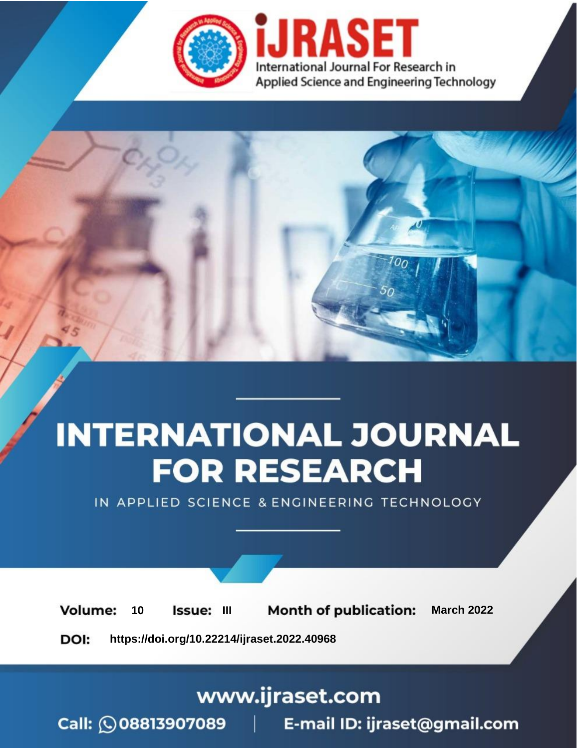

# **INTERNATIONAL JOURNAL FOR RESEARCH**

IN APPLIED SCIENCE & ENGINEERING TECHNOLOGY

10 **Issue: III Month of publication:** March 2022 **Volume:** 

**https://doi.org/10.22214/ijraset.2022.40968**DOI:

www.ijraset.com

Call: 008813907089 | E-mail ID: ijraset@gmail.com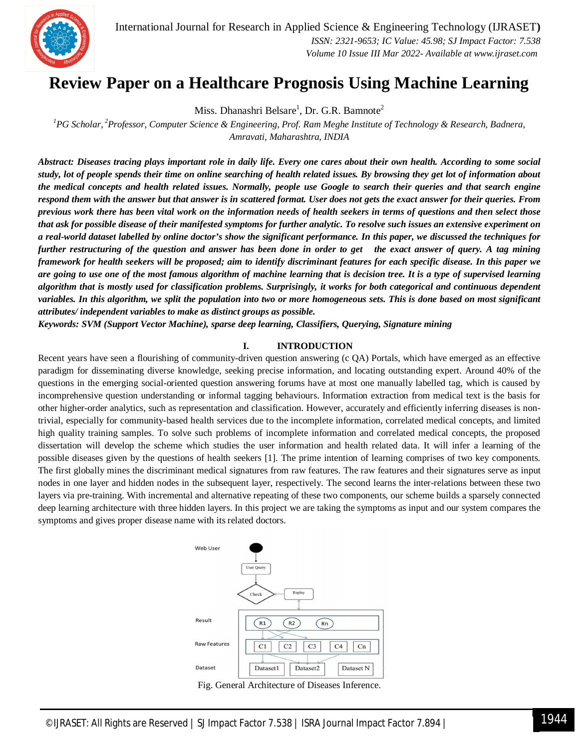

International Journal for Research in Applied Science & Engineering Technology (IJRASET**)**  *ISSN: 2321-9653; IC Value: 45.98; SJ Impact Factor: 7.538 Volume 10 Issue III Mar 2022- Available at www.ijraset.com*

## **Review Paper on a Healthcare Prognosis Using Machine Learning**

Miss. Dhanashri Belsare $^1$ , Dr. G.R. Bamnote $^2$ 

*<sup>1</sup>PG Scholar, <sup>2</sup>Professor, Computer Science & Engineering, Prof. Ram Meghe Institute of Technology & Research, Badnera, Amravati, Maharashtra, INDIA*

*Abstract: Diseases tracing plays important role in daily life. Every one cares about their own health. According to some social study, lot of people spends their time on online searching of health related issues. By browsing they get lot of information about the medical concepts and health related issues. Normally, people use Google to search their queries and that search engine respond them with the answer but that answer is in scattered format. User does not gets the exact answer for their queries. From previous work there has been vital work on the information needs of health seekers in terms of questions and then select those that ask for possible disease of their manifested symptoms for further analytic. To resolve such issues an extensive experiment on a real-world dataset labelled by online doctor's show the significant performance. In this paper, we discussed the techniques for further restructuring of the question and answer has been done in order to get the exact answer of query. A tag mining framework for health seekers will be proposed; aim to identify discriminant features for each specific disease. In this paper we are going to use one of the most famous algorithm of machine learning that is decision tree. It is a type of supervised learning algorithm that is mostly used for classification problems. Surprisingly, it works for both categorical and continuous dependent variables. In this algorithm, we split the population into two or more homogeneous sets. This is done based on most significant attributes/ independent variables to make as distinct groups as possible.*

*Keywords: SVM (Support Vector Machine), sparse deep learning, Classifiers, Querying, Signature mining*

## **I. INTRODUCTION**

Recent years have seen a flourishing of community-driven question answering (c QA) Portals, which have emerged as an effective paradigm for disseminating diverse knowledge, seeking precise information, and locating outstanding expert. Around 40% of the questions in the emerging social-oriented question answering forums have at most one manually labelled tag, which is caused by incomprehensive question understanding or informal tagging behaviours. Information extraction from medical text is the basis for other higher-order analytics, such as representation and classification. However, accurately and efficiently inferring diseases is nontrivial, especially for community-based health services due to the incomplete information, correlated medical concepts, and limited high quality training samples. To solve such problems of incomplete information and correlated medical concepts, the proposed dissertation will develop the scheme which studies the user information and health related data. It will infer a learning of the possible diseases given by the questions of health seekers [1]. The prime intention of learning comprises of two key components. The first globally mines the discriminant medical signatures from raw features. The raw features and their signatures serve as input nodes in one layer and hidden nodes in the subsequent layer, respectively. The second learns the inter-relations between these two layers via pre-training. With incremental and alternative repeating of these two components, our scheme builds a sparsely connected deep learning architecture with three hidden layers. In this project we are taking the symptoms as input and our system compares the symptoms and gives proper disease name with its related doctors.



Fig. General Architecture of Diseases Inference.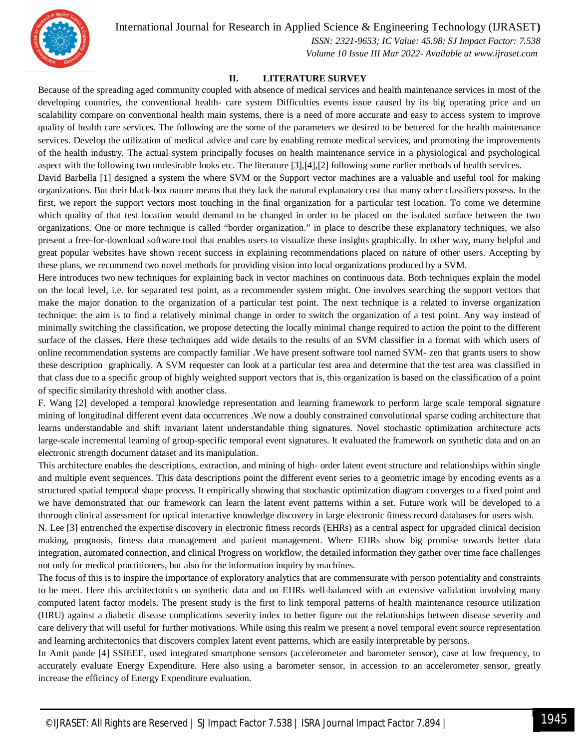

International Journal for Research in Applied Science & Engineering Technology (IJRASET**)**

 *ISSN: 2321-9653; IC Value: 45.98; SJ Impact Factor: 7.538 Volume 10 Issue III Mar 2022- Available at www.ijraset.com*

## **II. LITERATURE SURVEY**

Because of the spreading aged community coupled with absence of medical services and health maintenance services in most of the developing countries, the conventional health- care system Difficulties events issue caused by its big operating price and un scalability compare on conventional health main systems, there is a need of more accurate and easy to access system to improve quality of health care services. The following are the some of the parameters we desired to be bettered for the health maintenance services. Develop the utilization of medical advice and care by enabling remote medical services, and promoting the improvements of the health industry. The actual system principally focuses on health maintenance service in a physiological and psychological aspect with the following two undesirable looks etc. The literature [3],[4],[2] following some earlier methods of health services.

David Barbella [1] designed a system the where SVM or the Support vector machines are a valuable and useful tool for making organizations. But their black-box nature means that they lack the natural explanatory cost that many other classifiers possess. In the first, we report the support vectors most touching in the final organization for a particular test location. To come we determine which quality of that test location would demand to be changed in order to be placed on the isolated surface between the two organizations. One or more technique is called "border organization." in place to describe these explanatory techniques, we also present a free-for-download software tool that enables users to visualize these insights graphically. In other way, many helpful and great popular websites have shown recent success in explaining recommendations placed on nature of other users. Accepting by these plans, we recommend two novel methods for providing vision into local organizations produced by a SVM.

Here introduces two new techniques for explaining back in vector machines on continuous data. Both techniques explain the model on the local level, i.e. for separated test point, as a recommender system might. One involves searching the support vectors that make the major donation to the organization of a particular test point. The next technique is a related to inverse organization technique: the aim is to find a relatively minimal change in order to switch the organization of a test point. Any way instead of minimally switching the classification, we propose detecting the locally minimal change required to action the point to the different surface of the classes. Here these techniques add wide details to the results of an SVM classifier in a format with which users of online recommendation systems are compactly familiar .We have present software tool named SVM- zen that grants users to show these description graphically. A SVM requester can look at a particular test area and determine that the test area was classified in that class due to a specific group of highly weighted support vectors that is, this organization is based on the classification of a point of specific similarity threshold with another class.

F. Wang [2] developed a temporal knowledge representation and learning framework to perform large scale temporal signature mining of longitudinal different event data occurrences .We now a doubly constrained convolutional sparse coding architecture that learns understandable and shift invariant latent understandable thing signatures. Novel stochastic optimization architecture acts large-scale incremental learning of group-specific temporal event signatures. It evaluated the framework on synthetic data and on an electronic strength document dataset and its manipulation.

This architecture enables the descriptions, extraction, and mining of high- order latent event structure and relationships within single and multiple event sequences. This data descriptions point the different event series to a geometric image by encoding events as a structured spatial temporal shape process. It empirically showing that stochastic optimization diagram converges to a fixed point and we have demonstrated that our framework can learn the latent event patterns within a set. Future work will be developed to a thorough clinical assessment for optical interactive knowledge discovery in large electronic fitness record databases for users wish.

N. Lee [3] entrenched the expertise discovery in electronic fitness records (EHRs) as a central aspect for upgraded clinical decision making, prognosis, fitness data management and patient management. Where EHRs show big promise towards better data integration, automated connection, and clinical Progress on workflow, the detailed information they gather over time face challenges not only for medical practitioners, but also for the information inquiry by machines.

The focus of this is to inspire the importance of exploratory analytics that are commensurate with person potentiality and constraints to be meet. Here this architectonics on synthetic data and on EHRs well-balanced with an extensive validation involving many computed latent factor models. The present study is the first to link temporal patterns of health maintenance resource utilization (HRU) against a diabetic disease complications severity index to better figure out the relationships between disease severity and care delivery that will useful for further motivations. While using this realm we present a novel temporal event source representation and learning architectonics that discovers complex latent event patterns, which are easily interpretable by persons.

In Amit pande [4] SSIEEE, used integrated smartphone sensors (accelerometer and barometer sensor), case at low frequency, to accurately evaluate Energy Expenditure. Here also using a barometer sensor, in accession to an accelerometer sensor, greatly increase the efficincy of Energy Expenditure evaluation.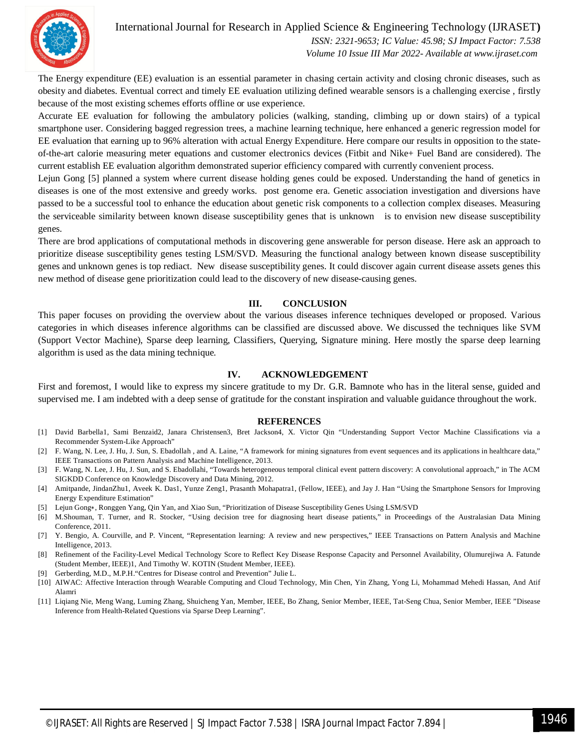

## International Journal for Research in Applied Science & Engineering Technology (IJRASET**)**

 *ISSN: 2321-9653; IC Value: 45.98; SJ Impact Factor: 7.538 Volume 10 Issue III Mar 2022- Available at www.ijraset.com*

The Energy expenditure (EE) evaluation is an essential parameter in chasing certain activity and closing chronic diseases, such as obesity and diabetes. Eventual correct and timely EE evaluation utilizing defined wearable sensors is a challenging exercise , firstly because of the most existing schemes efforts offline or use experience.

Accurate EE evaluation for following the ambulatory policies (walking, standing, climbing up or down stairs) of a typical smartphone user. Considering bagged regression trees, a machine learning technique, here enhanced a generic regression model for EE evaluation that earning up to 96% alteration with actual Energy Expenditure. Here compare our results in opposition to the stateof-the-art calorie measuring meter equations and customer electronics devices (Fitbit and Nike+ Fuel Band are considered). The current establish EE evaluation algorithm demonstrated superior efficiency compared with currently convenient process.

Lejun Gong [5] planned a system where current disease holding genes could be exposed. Understanding the hand of genetics in diseases is one of the most extensive and greedy works. post genome era. Genetic association investigation and diversions have passed to be a successful tool to enhance the education about genetic risk components to a collection complex diseases. Measuring the serviceable similarity between known disease susceptibility genes that is unknown is to envision new disease susceptibility genes.

There are brod applications of computational methods in discovering gene answerable for person disease. Here ask an approach to prioritize disease susceptibility genes testing LSM/SVD. Measuring the functional analogy between known disease susceptibility genes and unknown genes is top rediact. New disease susceptibility genes. It could discover again current disease assets genes this new method of disease gene prioritization could lead to the discovery of new disease-causing genes.

## **III. CONCLUSION**

This paper focuses on providing the overview about the various diseases inference techniques developed or proposed. Various categories in which diseases inference algorithms can be classified are discussed above. We discussed the techniques like SVM (Support Vector Machine), Sparse deep learning, Classifiers, Querying, Signature mining. Here mostly the sparse deep learning algorithm is used as the data mining technique.

#### **IV. ACKNOWLEDGEMENT**

First and foremost, I would like to express my sincere gratitude to my Dr. G.R. Bamnote who has in the literal sense, guided and supervised me. I am indebted with a deep sense of gratitude for the constant inspiration and valuable guidance throughout the work.

#### **REFERENCES**

- [1] David Barbella1, Sami Benzaid2, Janara Christensen3, Bret Jackson4, X. Victor Qin "Understanding Support Vector Machine Classifications via a Recommender System-Like Approach"
- [2] F. Wang, N. Lee, J. Hu, J. Sun, S. Ebadollah, and A. Laine, "A framework for mining signatures from event sequences and its applications in healthcare data," IEEE Transactions on Pattern Analysis and Machine Intelligence, 2013.
- [3] F. Wang, N. Lee, J. Hu, J. Sun, and S. Ebadollahi, "Towards heterogeneous temporal clinical event pattern discovery: A convolutional approach," in The ACM SIGKDD Conference on Knowledge Discovery and Data Mining, 2012.
- [4] Amitpande, JindanZhu1, Aveek K. Das1, Yunze Zeng1, Prasanth Mohapatra1, (Fellow, IEEE), and Jay J. Han "Using the Smartphone Sensors for Improving Energy Expenditure Estimation"
- [5] Lejun Gong∗, Ronggen Yang, Qin Yan, and Xiao Sun, "Prioritization of Disease Susceptibility Genes Using LSM/SVD
- [6] M.Shouman, T. Turner, and R. Stocker, "Using decision tree for diagnosing heart disease patients," in Proceedings of the Australasian Data Mining Conference, 2011.
- [7] Y. Bengio, A. Courville, and P. Vincent, "Representation learning: A review and new perspectives," IEEE Transactions on Pattern Analysis and Machine Intelligence, 2013.
- [8] Refinement of the Facility-Level Medical Technology Score to Reflect Key Disease Response Capacity and Personnel Availability, Olumurejiwa A. Fatunde (Student Member, IEEE)1, And Timothy W. KOTIN (Student Member, IEEE).
- [9] Gerberding, M.D., M.P.H."Centres for Disease control and Prevention" Julie L.
- [10] AIWAC: Affective Interaction through Wearable Computing and Cloud Technology, Min Chen, Yin Zhang, Yong Li, Mohammad Mehedi Hassan, And Atif Alamri
- [11] Liqiang Nie, Meng Wang, Luming Zhang, Shuicheng Yan, Member, IEEE, Bo Zhang, Senior Member, IEEE, Tat-Seng Chua, Senior Member, IEEE "Disease Inference from Health-Related Questions via Sparse Deep Learning".